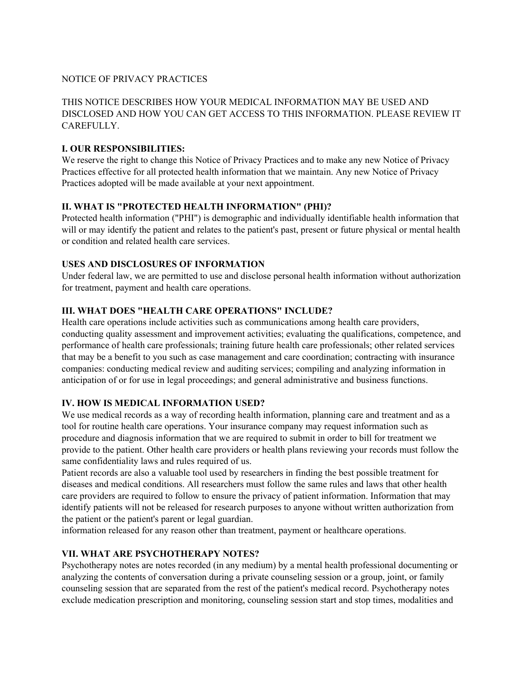#### NOTICE OF PRIVACY PRACTICES

# THIS NOTICE DESCRIBES HOW YOUR MEDICAL INFORMATION MAY BE USED AND DISCLOSED AND HOW YOU CAN GET ACCESS TO THIS INFORMATION. PLEASE REVIEW IT **CAREFULLY**

## **I. OUR RESPONSIBILITIES:**

We reserve the right to change this Notice of Privacy Practices and to make any new Notice of Privacy Practices effective for all protected health information that we maintain. Any new Notice of Privacy Practices adopted will be made available at your next appointment.

## **II. WHAT IS "PROTECTED HEALTH INFORMATION" (PHI)?**

Protected health information ("PHI") is demographic and individually identifiable health information that will or may identify the patient and relates to the patient's past, present or future physical or mental health or condition and related health care services.

## **USES AND DISCLOSURES OF INFORMATION**

Under federal law, we are permitted to use and disclose personal health information without authorization for treatment, payment and health care operations.

## **III. WHAT DOES "HEALTH CARE OPERATIONS" INCLUDE?**

Health care operations include activities such as communications among health care providers, conducting quality assessment and improvement activities; evaluating the qualifications, competence, and performance of health care professionals; training future health care professionals; other related services that may be a benefit to you such as case management and care coordination; contracting with insurance companies: conducting medical review and auditing services; compiling and analyzing information in anticipation of or for use in legal proceedings; and general administrative and business functions.

## **IV. HOW IS MEDICAL INFORMATION USED?**

We use medical records as a way of recording health information, planning care and treatment and as a tool for routine health care operations. Your insurance company may request information such as procedure and diagnosis information that we are required to submit in order to bill for treatment we provide to the patient. Other health care providers or health plans reviewing your records must follow the same confidentiality laws and rules required of us.

Patient records are also a valuable tool used by researchers in finding the best possible treatment for diseases and medical conditions. All researchers must follow the same rules and laws that other health care providers are required to follow to ensure the privacy of patient information. Information that may identify patients will not be released for research purposes to anyone without written authorization from the patient or the patient's parent or legal guardian.

information released for any reason other than treatment, payment or healthcare operations.

## **VII. WHAT ARE PSYCHOTHERAPY NOTES?**

Psychotherapy notes are notes recorded (in any medium) by a mental health professional documenting or analyzing the contents of conversation during a private counseling session or a group, joint, or family counseling session that are separated from the rest of the patient's medical record. Psychotherapy notes exclude medication prescription and monitoring, counseling session start and stop times, modalities and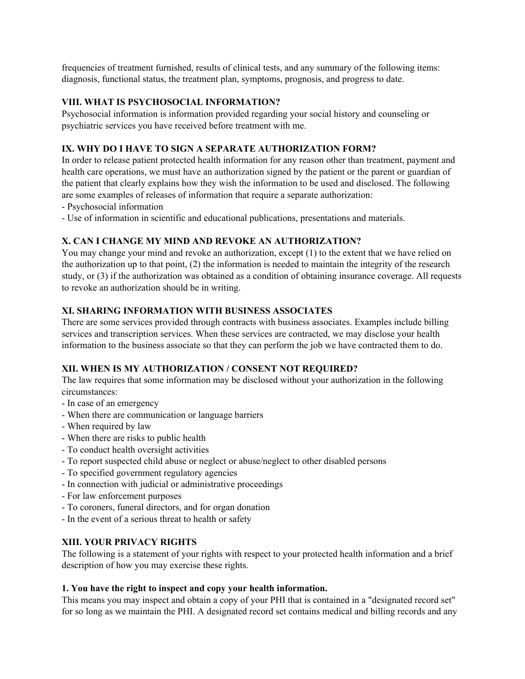frequencies of treatment furnished, results of clinical tests, and any summary of the following items: diagnosis, functional status, the treatment plan, symptoms, prognosis, and progress to date.

## **VIII. WHAT IS PSYCHOSOCIAL INFORMATION?**

Psychosocial information is information provided regarding your social history and counseling or psychiatric services you have received before treatment with me.

# **IX. WHY DO I HAVE TO SIGN A SEPARATE AUTHORIZATION FORM?**

In order to release patient protected health information for any reason other than treatment, payment and health care operations, we must have an authorization signed by the patient or the parent or guardian of the patient that clearly explains how they wish the information to be used and disclosed. The following are some examples of releases of information that require a separate authorization:

- Psychosocial information
- Use of information in scientific and educational publications, presentations and materials.

# **X. CAN I CHANGE MY MIND AND REVOKE AN AUTHORIZATION?**

You may change your mind and revoke an authorization, except (1) to the extent that we have relied on the authorization up to that point, (2) the information is needed to maintain the integrity of the research study, or (3) if the authorization was obtained as a condition of obtaining insurance coverage. All requests to revoke an authorization should be in writing.

## **XI. SHARING INFORMATION WITH BUSINESS ASSOCIATES**

There are some services provided through contracts with business associates. Examples include billing services and transcription services. When these services are contracted, we may disclose your health information to the business associate so that they can perform the job we have contracted them to do.

## **XII. WHEN IS MY AUTHORIZATION / CONSENT NOT REQUIRED?**

The law requires that some information may be disclosed without your authorization in the following circumstances:

- In case of an emergency
- When there are communication or language barriers
- When required by law
- When there are risks to public health
- To conduct health oversight activities
- To report suspected child abuse or neglect or abuse/neglect to other disabled persons
- To specified government regulatory agencies
- In connection with judicial or administrative proceedings
- For law enforcement purposes
- To coroners, funeral directors, and for organ donation
- In the event of a serious threat to health or safety

## **XIII. YOUR PRIVACY RIGHTS**

The following is a statement of your rights with respect to your protected health information and a brief description of how you may exercise these rights.

#### **1. You have the right to inspect and copy your health information.**

This means you may inspect and obtain a copy of your PHI that is contained in a "designated record set" for so long as we maintain the PHI. A designated record set contains medical and billing records and any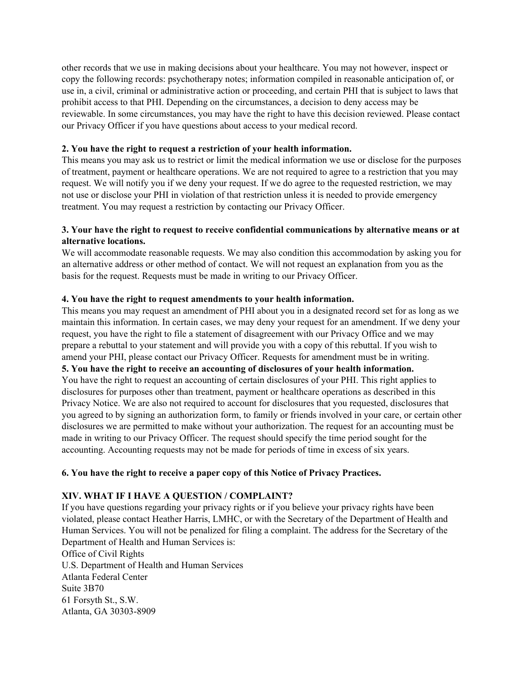other records that we use in making decisions about your healthcare. You may not however, inspect or copy the following records: psychotherapy notes; information compiled in reasonable anticipation of, or use in, a civil, criminal or administrative action or proceeding, and certain PHI that is subject to laws that prohibit access to that PHI. Depending on the circumstances, a decision to deny access may be reviewable. In some circumstances, you may have the right to have this decision reviewed. Please contact our Privacy Officer if you have questions about access to your medical record.

#### **2. You have the right to request a restriction of your health information.**

This means you may ask us to restrict or limit the medical information we use or disclose for the purposes of treatment, payment or healthcare operations. We are not required to agree to a restriction that you may request. We will notify you if we deny your request. If we do agree to the requested restriction, we may not use or disclose your PHI in violation of that restriction unless it is needed to provide emergency treatment. You may request a restriction by contacting our Privacy Officer.

# **3. Your have the right to request to receive confidential communications by alternative means or at alternative locations.**

We will accommodate reasonable requests. We may also condition this accommodation by asking you for an alternative address or other method of contact. We will not request an explanation from you as the basis for the request. Requests must be made in writing to our Privacy Officer.

#### **4. You have the right to request amendments to your health information.**

This means you may request an amendment of PHI about you in a designated record set for as long as we maintain this information. In certain cases, we may deny your request for an amendment. If we deny your request, you have the right to file a statement of disagreement with our Privacy Office and we may prepare a rebuttal to your statement and will provide you with a copy of this rebuttal. If you wish to amend your PHI, please contact our Privacy Officer. Requests for amendment must be in writing. **5. You have the right to receive an accounting of disclosures of your health information.**

You have the right to request an accounting of certain disclosures of your PHI. This right applies to disclosures for purposes other than treatment, payment or healthcare operations as described in this Privacy Notice. We are also not required to account for disclosures that you requested, disclosures that you agreed to by signing an authorization form, to family or friends involved in your care, or certain other disclosures we are permitted to make without your authorization. The request for an accounting must be made in writing to our Privacy Officer. The request should specify the time period sought for the accounting. Accounting requests may not be made for periods of time in excess of six years.

## **6. You have the right to receive a paper copy of this Notice of Privacy Practices.**

## **XIV. WHAT IF I HAVE A QUESTION / COMPLAINT?**

If you have questions regarding your privacy rights or if you believe your privacy rights have been violated, please contact Heather Harris, LMHC, or with the Secretary of the Department of Health and Human Services. You will not be penalized for filing a complaint. The address for the Secretary of the Department of Health and Human Services is: Office of Civil Rights U.S. Department of Health and Human Services Atlanta Federal Center Suite 3B70

61 Forsyth St., S.W. Atlanta, GA 30303-8909